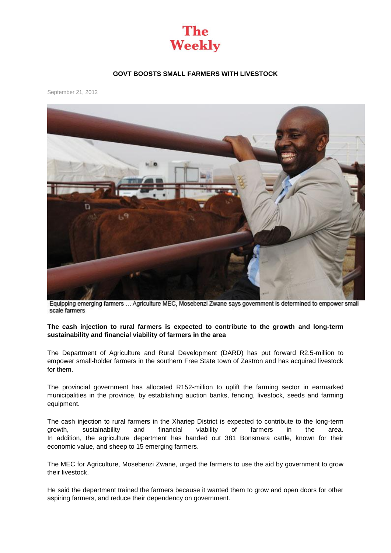

## **GOVT BOOSTS SMALL FARMERS WITH LIVESTOCK**

September 21, 2012



Equipping emerging farmers ... Agriculture MEC, Mosebenzi Zwane says government is determined to empower small scale farmers

## **The cash injection to rural farmers is expected to contribute to the growth and long-term sustainability and financial viability of farmers in the area**

The Department of Agriculture and Rural Development (DARD) has put forward R2.5-million to empower small-holder farmers in the southern Free State town of Zastron and has acquired livestock for them.

The provincial government has allocated R152-million to uplift the farming sector in earmarked municipalities in the province, by establishing auction banks, fencing, livestock, seeds and farming equipment.

The cash injection to rural farmers in the Xhariep District is expected to contribute to the long-term growth, sustainability and financial viability of farmers in the area. In addition, the agriculture department has handed out 381 Bonsmara cattle, known for their economic value, and sheep to 15 emerging farmers.

The MEC for Agriculture, Mosebenzi Zwane, urged the farmers to use the aid by government to grow their livestock.

He said the department trained the farmers because it wanted them to grow and open doors for other aspiring farmers, and reduce their dependency on government.